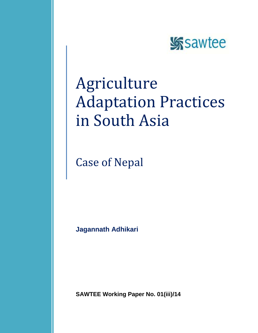

# Agriculture Adaptation Practices in South Asia

Case of Nepal

**Jagannath Adhikari**

**SAWTEE Working Paper No. 01(iii)/14**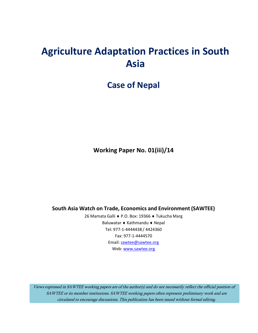# **Agriculture Adaptation Practices in South Asia**

# **Case of Nepal**

**Working Paper No. 01(iii)/14**

**South Asia Watch on Trade, Economics and Environment (SAWTEE)**

26 Mamata Galli ♦ P.O. Box: 19366 ♦ Tukucha Marg Baluwatar ♦ Kathmandu ♦ Nepal Tel: 977-1-4444438 / 4424360 Fax: 977-1-4444570 Email: [sawtee@sawtee.org](mailto:sawtee@sawtee.org) Web: [www.sawtee.org](http://www.sawtee.org/)

Views expressed in SAWTEE working papers are of the author(s) and do not necessarily reflect the official position of SAWTEE or its member institutions. SAWTEE working papers often represent preliminary work and are circulated to encourage discussions. This publication has been issued without formal editing.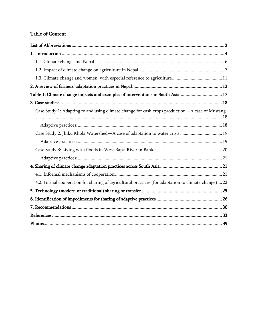# **Table of Content**

| Table 1: Climate change impacts and examples of interventions in South Asia 17                      |
|-----------------------------------------------------------------------------------------------------|
|                                                                                                     |
| Case Study 1: Adapting to and using climate change for cash crops production-A case of Mustang      |
|                                                                                                     |
| Case Study 2: Jhiku Khola Watershed—A case of adaptation to water crisis  19                        |
|                                                                                                     |
|                                                                                                     |
|                                                                                                     |
|                                                                                                     |
|                                                                                                     |
| 4.2. Formal cooperation for sharing of agricultural practices (for adaptation to climate change) 22 |
|                                                                                                     |
|                                                                                                     |
|                                                                                                     |
|                                                                                                     |
|                                                                                                     |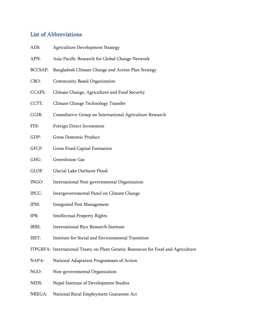# <span id="page-3-0"></span>List of Abbreviations

| ADS:           | <b>Agriculture Development Strategy</b>                  |  |  |
|----------------|----------------------------------------------------------|--|--|
| APN:           | Asia-Pacific Research for Global Change Network          |  |  |
| <b>BCCSAP:</b> | Bangladesh Climate Change and Action Plan Strategy       |  |  |
| CBO:           | Community Based Organization                             |  |  |
| <b>CCAFS:</b>  | Climate Change, Agriculture and Food Security            |  |  |
| CCTT:          | Climate Change Technology Transfer                       |  |  |
| CGIR:          | Consultative Group on International Agriculture Research |  |  |
| FDI:           | Foreign Direct Investment                                |  |  |
| GDP:           | <b>Gross Domestic Product</b>                            |  |  |
| GFCF:          | Gross Fixed Capital Formation                            |  |  |
| GHG:           | Greenhouse Gas                                           |  |  |
| GLOF:          | Glacial Lake Outburst Flood                              |  |  |
| INGO:          | International Non-governmental Organization              |  |  |
| IPCC:          | Intergovernmental Panel on Climate Change                |  |  |
| IPM:           | <b>Integrated Pest Management</b>                        |  |  |

- IPR: Intellectual Property Rights
- IRRI: International Rice Research Institute
- ISET: [Institute for Social and Environmental Transition](http://isetnepal.org.np/)
- ITPGRFA: International Treaty on Plant Genetic Resources for Food and Agriculture
- NAPA: National Adaptation Programmes of Action
- NGO: Non-governmental Organization
- NIDS: Nepal Institute of Development Studies
- NREGA: National Rural Employment Guarantee Act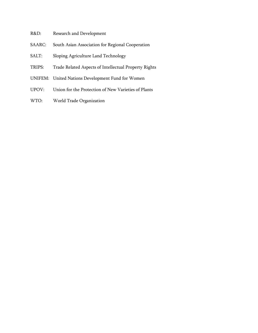- R&D: Research and Development
- SAARC: South Asian Association for Regional Cooperation
- SALT: Sloping Agriculture Land Technology
- TRIPS: Trade Related Aspects of Intellectual Property Rights
- UNIFEM: United Nations Development Fund for Women
- UPOV: Union for the Protection of New Varieties of Plants
- WTO: World Trade Organization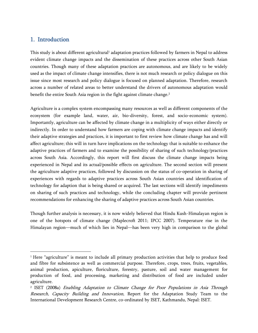# <span id="page-5-0"></span>1. Introduction

 $\overline{a}$ 

This study is about different agricultural<sup>1</sup> adaptation practices followed by farmers in Nepal to address evident climate change impacts and the dissemination of these practices across other South Asian countries. Though many of these adaptation practices are autonomous, and are likely to be widely used as the impact of climate change intensifies, there is not much research or policy dialogue on this issue since most research and policy dialogue is focused on planned adaptation. Therefore, research across a number of related areas to better understand the drivers of autonomous adaptation would benefit the entire South Asia region in the fight against climate change.<sup>2</sup>

Agriculture is a complex system encompassing many resources as well as different components of the ecosystem (for example land, water, air, bio-diversity, forest, and socio-economic system). Importantly, agriculture can be affected by climate change in a multiplicity of ways either directly or indirectly. In order to understand how farmers are coping with climate change impacts and identify their adaptive strategies and practices, it is important to first review how climate change has and will affect agriculture; this will in turn have implications on the technology that is suitable to enhance the adaptive practices of farmers and to examine the possibility of sharing of such technology/practices across South Asia. Accordingly, this report will first discuss the climate change impacts being experienced in Nepal and its actual/possible effects on agriculture. The second section will present the agriculture adaptive practices, followed by discussion on the status of co-operation in sharing of experiences with regards to adaptive practices across South Asian countries and identification of technology for adaption that is being shared or acquired. The last sections will identify impediments on sharing of such practices and technology, while the concluding chapter will provide pertinent recommendations for enhancing the sharing of adaptive practices across South Asian countries.

Though further analysis is necessary, it is now widely believed that Hindu Kush-Himalayan region is one of the hotspots of climate change (Maplecroft 2011; IPCC 2007). Temperature rise in the Himalayan region—much of which lies in Nepal—has been very high in comparison to the global

 $1$  Here "agriculture" is meant to include all primary production activities that help to produce food and fibre for subsistence as well as commercial purpose. Therefore, crops, trees, fruits, vegetables, animal production, apiculture, floriculture, forestry, pasture, soil and water management for production of food, and processing, marketing and distribution of food are included under agriculture.

<sup>&</sup>lt;sup>2</sup> ISET (2008a) *Enabling Adaptation to Climate Change for Poor Populations in Asia Through* Research, Capacity Building and Innovation, Report for the Adaptation Study Team to the International Development Research Centre, co-ordinated by ISET, Kathmandu, Nepal: ISET.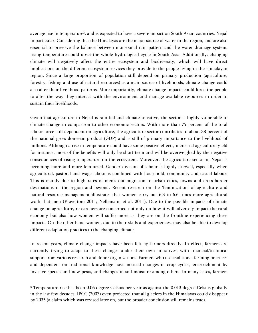average rise in temperature<sup>3</sup>, and is expected to have a severe impact on South Asian countries, Nepal in particular. Considering that the Himalayas are the major source of water in the region, and are also essential to preserve the balance between monsoonal rain pattern and the water drainage system, rising temperature could upset the whole hydrological cycle in South Asia. Additionally, changing climate will negatively affect the entire ecosystem and biodiversity, which will have direct implications on the different ecosystem services they provide to the people living in the Himalayan region. Since a large proportion of population still depend on primary production (agriculture, forestry, fishing and use of natural resources) as a main source of livelihoods, climate change could also alter their livelihood patterns. More importantly, climate change impacts could force the people to alter the way they interact with the environment and manage available resources in order to sustain their livelihoods.

Given that agriculture in Nepal is rain-fed and climate sensitive, the sector is highly vulnerable to climate change in comparison to other economic sectors. With more than 75 percent of the total labour force still dependent on agriculture, the agriculture sector contributes to about 38 percent of the national gross domestic product (GDP) and is still of primary importance to the livelihood of millions. Although a rise in temperature could have some positive effects, increased agriculture yield for instance, most of the benefits will only be short term and will be overweighed by the negative consequences of rising temperature on the ecosystem. Moreover, the agriculture sector in Nepal is becoming more and more feminized. Gender division of labour is highly skewed, especially when agricultural, pastoral and wage labour is combined with household, community and casual labour. This is mainly due to high rates of men's out-migration to urban cities, towns and cross-border destinations in the region and beyond. Recent research on the 'feminization' of agriculture and natural resource management illustrates that women carry out 6.3 to 6.6 times more agricultural work that men (Pravettoni 2011; Nellemann et al. 2011). Due to the possible impacts of climate change on agriculture, researchers are concerned not only on how it will adversely impact the rural economy but also how women will suffer more as they are on the frontline experiencing these impacts. On the other hand women, due to their skills and experiences, may also be able to develop different adaptation practices to the changing climate.

In recent years, climate change impacts have been felt by farmers directly. In effect, farmers are currently trying to adapt to these changes under their own initiatives, with financial/technical support from various research and donor organizations. Farmers who use traditional farming practices and dependent on traditional knowledge have noticed changes in crop cycles, encroachment by invasive species and new pests, and changes in soil moisture among others. In many cases, farmers

 $\overline{\phantom{a}}$ 

<sup>3</sup> Temperature rise has been 0.06 degree Celsius per year as against the 0.013 degree Celsius globally in the last few decades. IPCC (2007) even projected that all glaciers in the Himalayas could disappear by 2035 (a claim which was revised later on, but the broader conclusion still remains true).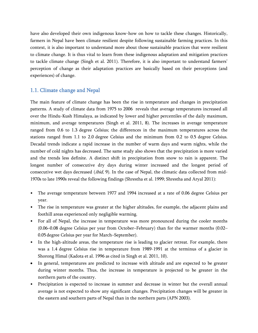have also developed their own indigenous know-how on how to tackle these changes. Historically, farmers in Nepal have been climate resilient despite following sustainable farming practices. In this context, it is also important to understand more about those sustainable practices that were resilient to climate change. It is thus vital to learn from these indigenous adaptation and mitigation practices to tackle climate change (Singh et al. 2011). Therefore, it is also important to understand farmers' perception of change as their adaptation practices are basically based on their perceptions (and experiences) of change.

#### <span id="page-7-0"></span>1.1. Climate change and Nepal

The main feature of climate change has been the rise in temperature and changes in precipitation patterns. A study of climate data from 1975 to 2006 reveals that average temperatures increased all over the Hindu-Kush Himalaya, as indicated by lower and higher percentiles of the daily maximum, minimum, and average temperatures (Singh et al. 2011, 8). The increases in average temperature ranged from 0.6 to 1.3 degree Celsius; the differences in the maximum temperatures across the stations ranged from 1.1 to 2.0 degree Celsius and the minimum from 0.2 to 0.5 degree Celsius. Decadal trends indicate a rapid increase in the number of warm days and warm nights, while the number of cold nights has decreased. The same study also shows that the precipitation is more varied and the trends less definite. A distinct shift in precipitation from snow to rain is apparent. The longest number of consecutive dry days during winter increased and the longest period of consecutive wet days decreased (*ibid*, 9). In the case of Nepal, the climatic data collected from mid-1970s to late 1990s reveal the following findings (Shrestha et al. 1999; Shrestha and Aryal 2011):

- The average temperature between 1977 and 1994 increased at a rate of 0.06 degree Celsius per year.
- The rise in temperature was greater at the higher altitudes, for example, the adjacent plains and foothill areas experienced only negligible warming.
- For all of Nepal, the increase in temperature was more pronounced during the cooler months (0.06–0.08 degree Celsius per year from October–February) than for the warmer months (0.02– 0.05 degree Celsius per year for March–September).
- In the high-altitude areas, the temperature rise is leading to glacier retreat. For example, there was a 1.4 degree Celsius rise in temperature from 1989-1991 at the terminus of a glacier in Shorong Himal (Kadota et al. 1996 as cited in Singh et al. 2011, 10).
- In general, temperatures are predicted to increase with altitude and are expected to be greater during winter months. Thus, the increase in temperature is projected to be greater in the northern parts of the country.
- Precipitation is expected to increase in summer and decrease in winter but the overall annual average is not expected to show any significant changes. Precipitation changes will be greater in the eastern and southern parts of Nepal than in the northern parts (APN 2003).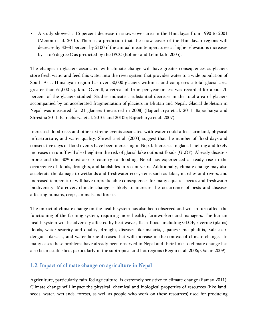• A study showed a 16 percent decrease in snow-cover area in the Himalayas from 1990 to 2001 (Menon et al. 2010). There is a prediction that the snow cover of the Himalayan regions will decrease by 43–81percent by 2100 if the annual mean temperatures at higher elevations increases by 1 to 6 degree C as predicted by the IPCC (Bohner and Lehmkuhl 2005).

The changes in glaciers associated with climate change will have greater consequences as glaciers store fresh water and feed this water into the river system that provides water to a wide population of South Asia. Himalayan region has over 50,000 glaciers within it and comprises a total glacial area greater than 61,000 sq. km. Overall, a retreat of 15 m per year or less was recorded for about 70 percent of the glaciers studied. Studies indicate a substantial decrease in the total area of glaciers accompanied by an accelerated fragmentation of glaciers in Bhutan and Nepal. Glacial depletion in Nepal was measured for 21 glaciers (measured in 2008) (Bajracharya et al. 2011; Bajracharya and Shrestha 2011; Bajracharya et al. 2010a and 2010b; Bajracharya et al. 2007).

Increased flood risks and other extreme events associated with water could affect farmland, physical infrastructure, and water quality. Shrestha et al. (2003) suggest that the number of flood days and consecutive days of flood events have been increasing in Nepal. Increases in glacial melting and likely increases in runoff will also heighten the risk of glacial lake outburst floods (GLOF). Already disasterprone and the 30<sup>th</sup> most at-risk country to flooding, Nepal has experienced a steady rise in the occurrence of floods, droughts, and landslides in recent years. Additionally, climate change may also accelerate the damage to wetlands and freshwater ecosystems such as lakes, marshes and rivers, and increased temperature will have unpredictable consequences for many aquatic species and freshwater biodiversity. Moreover, climate change is likely to increase the occurrence of pests and diseases affecting humans, crops, animals and forests.

The impact of climate change on the health system has also been observed and will in turn affect the functioning of the farming system, requiring more healthy farmworkers and managers. The human health system will be adversely affected by heat waves, flash-floods including GLOF, riverine (plains) floods, water scarcity and quality, drought, diseases like malaria, Japanese encephalitis, Kala-azar, dengue, filariasis, and water-borne diseases that will increase in the context of climate change. In many cases these problems have already been observed in Nepal and their links to climate change has also been established, particularly in the subtropical and hot regions (Regmi et al. 2006; Oxfam 2009).

#### <span id="page-8-0"></span>1.2. Impact of climate change on agriculture in Nepal

Agriculture, particularly rain-fed agriculture, is extremely sensitive to climate change (Ramay 2011). Climate change will impact the physical, chemical and biological properties of resources (like land, seeds, water, wetlands, forests, as well as people who work on these resources) used for producing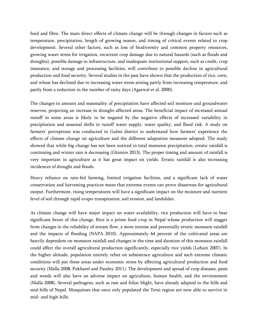food and fibre. The main direct effects of climate change will be through changes in factors such as temperature, precipitation, length of growing season, and timing of critical events related to crop development. Several other factors, such as loss of biodiversity and common property resources, growing water stress for irrigation, recurrent crop damage due to natural hazards (such as floods and droughts), possible damage to infrastructure, and inadequate institutional support, such as credit, crop insurance, and storage and processing facilities, will contribute to possible decline in agricultural production and food security. Several studies in the past have shown that the production of rice, corn, and wheat has declined due to increasing water stress arising partly from increasing temperature, and partly from a reduction in the number of rainy days (Agarwal et al. 2000).

The changes in amount and seasonality of precipitation have affected soil moisture and groundwater reserves, projecting an increase in drought-affected areas. The beneficial impact of increased annual runoff in some areas is likely to be negated by the negative effects of increased variability in precipitation and seasonal shifts in runoff water supply, water quality, and flood risk. A study on farmers' perceptions was conducted in Gulmi district to understand how farmers' experience the effects of climate change on agriculture and the different adaptation measures adopted. The study showed that while big change has not been noticed in total monsoon precipitation, erratic rainfall is continuing and winter rain is decreasing (Ghimire 2013). The proper timing and amount of rainfall is very important in agriculture as it has great impact on yields. Erratic rainfall is also increasing incidences of drought and floods.

Heavy reliance on rain-fed farming, limited irrigation facilities, and a significant lack of water conservation and harvesting practices mean that extreme events can prove disastrous for agricultural output. Furthermore, rising temperatures will have a significant impact on the moisture and nutrient level of soil through rapid evapo-transpiration, soil erosion, and landslides.

As climate change will have major impact on water availability, rice production will have to bear significant brunt of this change. Rice is a prime food crop in Nepal whose production will stagger from changes in the reliability of stream flow, a more intense and potentially erratic monsoon rainfall and the impacts of flooding (NAPA 2010). Approximately 64 percent of the cultivated areas are heavily dependent on monsoon rainfall and changes in the time and duration of this monsoon rainfall could affect the overall agricultural production significantly, especially rice yields (Lohani 2007). In the higher altitude, population entirely relies on subsistence agriculture and such extreme climatic conditions will put these areas under economic stress by affecting agricultural production and food security (Malla 2008; Pokharel and Pandey 2011). The development and spread of crop diseases, pests and weeds will also have an adverse impact on agriculture, human health, and the environment (Malla 2008). Several pathogens, such as rust and foliar blight, have already adapted to the hills and mid-hills of Nepal. Mosquitoes that once only populated the Terai region are now able to survive in mid- and high-hills.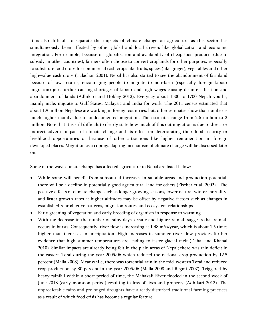It is also difficult to separate the impacts of climate change on agriculture as this sector has simultaneously been affected by other global and local drivers like globalization and economic integration. For example, because of globalization and availability of cheap food products (due to subsidy in other countries), farmers often choose to convert croplands for other purposes, especially to substitute food crops for commercial cash crops like fruits, spices (like ginger), vegetables and other high-value cash crops (Tulachan 2001). Nepal has also started to see the abandonment of farmland because of low returns, encouraging people to migrate to non-farm (especially foreign labour migration) jobs further causing shortages of labour and high wages causing de-intensification and abandonment of lands (Adhikari and Hobley 2012). Everyday about 1500 to 1700 Nepali youths, mainly male, migrate to Gulf States, Malaysia and India for work. The 2011 census estimated that about 1.9 million Nepalese are working in foreign countries, but, other estimates show that number is much higher mainly due to undocumented migration. The estimates range from 2.6 million to 3 million. Note that it is still difficult to clearly state how much of this out migration is due to direct or indirect adverse impact of climate change and its effect on deteriorating their food security or livelihood opportunities or because of other attractions like higher remuneration in foreign developed places. Migration as a coping/adapting mechanism of climate change will be discussed later on.

Some of the ways climate change has affected agriculture in Nepal are listed below:

- While some will benefit from substantial increases in suitable areas and production potential, there will be a decline in potentially good agricultural land for others (Fischer et al. 2002). The positive effects of climate change such as longer growing seasons, lower natural winter mortality, and faster growth rates at higher altitudes may be offset by negative factors such as changes in established reproductive patterns, migration routes, and ecosystem relationships.
- Early greening of vegetation and early breeding of organism in response to warming.
- With the decrease in the number of rainy days, erratic and higher rainfall suggests that rainfall occurs in bursts. Consequently, river flow is increasing at 1.48 m<sup>3</sup>/s/year, which is about 1.5 times higher than increases in precipitation. High increases in summer river flow provides further evidence that high summer temperatures are leading to faster glacial melt (Dahal and Khanal 2010). Similar impacts are already being felt in the plain areas of Nepal; there was rain deficit in the eastern Terai during the year 2005/06 which reduced the national crop production by 12.5 percent (Malla 2008). Meanwhile, there was torrential rain in the mid-western Terai and reduced crop production by 30 percent in the year 2005/06 (Malla 2008 and Regmi 2007). Triggered by heavy rainfall within a short period of time, the Mahakali River flooded in the second week of June 2013 (early monsoon period) resulting in loss of lives and property (Adhikari 2013). The unpredictable rains and prolonged droughts have already disturbed traditional farming practices as a result of which food crisis has become a regular feature.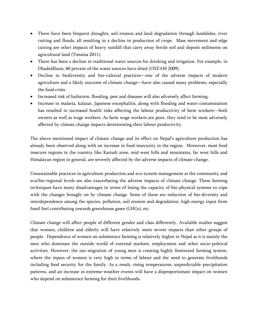- There have been frequent droughts, soil erosion and land degradation through landslides, river cutting and floods, all resulting in a decline in production of crops. Mass movement and edge cutting are other impacts of heavy rainfall that carry away fertile soil and deposit sediments on agricultural land (Timsina 2011).
- There has been a decline in traditional water sources for drinking and irrigation. For example, in Dhadeldhura, 60 percent of the water sources have dried (OXFAM 2009).
- Decline in biodiversity and bio-cultural practices—one of the adverse impacts of modern agriculture and a likely outcome of climate change—have also caused many problems, especially the food crisis.
- Increased risk of hailstorm, flooding, pest and diseases will also adversely affect farming.
- Increase in malaria, kalazar, Japanese encephalitis, along with flooding and water contamination has resulted in increased health risks affecting the labour productivity of farm workers—both owners as well as wage workers. As farm wage workers are poor, they tend to be most adversely affected by climate change impacts deteriorating their labour productivity.

The above mentioned impact of climate change and its effect on Nepal's agriculture production has already been observed along with an increase in food insecurity in the region. Moreover, most food insecure regions in the country like Karnali zone, mid-west hills and mountains, far west hills and Himalayan region in general, are severely affected by the adverse impacts of climate change.

Unsustainable practices in agriculture production and eco-system management at the community and eco/bio-regional levels are also exacerbating the adverse impacts of climate change. These farming techniques have many disadvantages in terms of losing the capacity of bio-physical systems to cope with the changes brought on by climate change. Some of these are reduction of bio-diversity and interdependence among the species, pollution, soil erosion and degradation, high energy input from fossil fuel contributing towards greenhouse gases (GHGs), etc.

Climate change will affect people of different gender and class differently. Available studies suggest that women, children and elderly will have relatively more severe impacts than other groups of people. Dependence of women on subsistence farming is relatively higher in Nepal as it is mainly the men who dominate the outside world of external markets, employment and other socio-political activities. However, the out-migration of young men is creating highly feminized farming system, where the inputs of women is very high in terms of labour and the need to generate livelihoods including food security for the family. As a result, rising temperatures, unpredictable precipitation patterns, and an increase in extreme‐weather events will have a disproportionate impact on women who depend on subsistence farming for their livelihoods.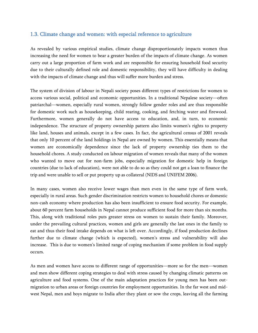# <span id="page-12-0"></span>1.3. Climate change and women: with especial reference to agriculture

As revealed by various empirical studies, climate change disproportionately impacts women thus increasing the need for women to bear a greater burden of the impacts of climate change. As women carry out a large proportion of farm work and are responsible for ensuring household food security due to their culturally defined role and domestic responsibility, they will have difficulty in dealing with the impacts of climate change and thus will suffer more burden and stress.

The system of division of labour in Nepali society poses different types of restrictions for women to access various social, political and economic opportunities. In a traditional Nepalese society—often patriarchal—women, especially rural women, strongly follow gender roles and are thus responsible for domestic work such as housekeeping, child rearing, cooking, and fetching water and firewood. Furthermore, women generally do not have access to education, and, in turn, to economic independence. The structure of property ownership pattern also limits women's rights to property like land, houses and animals, except in a few cases. In fact, the agricultural census of 2001 reveals that only 10 percent of the land holdings in Nepal are owned by women. This essentially means that women are economically dependence since the lack of property ownership ties them to the household chores. A study conducted on labour migration of women reveals that many of the women who wanted to move out for non-farm jobs, especially migration for domestic help in foreign countries (due to lack of education), were not able to do so as they could not get a loan to finance the trip and were unable to sell or put property up as collateral (NIDS and UNIFEM 2006).

In many cases, women also receive lower wages than men even in the same type of farm work, especially in rural areas. Such gender discrimination restricts women to household chores or domestic non-cash economy where production has also been insufficient to ensure food security. For example, about 60 percent farm households in Nepal cannot produce sufficient food for more than six months. This, along with traditional roles puts greater stress on women to sustain their family. Moreover, under the prevailing cultural practices, women and girls are generally the last ones in the family to eat and thus their food intake depends on what is left over. Accordingly, if food production declines further due to climate change (which is expected), women's stress and vulnerability will also increase. This is due to women's limited range of coping mechanism if some problem in food supply occurs.

As men and women have access to different range of opportunities—more so for the men—women and men show different coping strategies to deal with stress caused by changing climatic patterns on agriculture and food systems. One of the main adaptation practices for young men has been outmigration to urban areas or foreign countries for employment opportunities. In the far west and midwest Nepal, men and boys migrate to India after they plant or sow the crops, leaving all the farming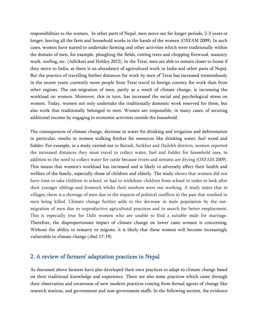responsibilities to the women. In other parts of Nepal, men move out for longer periods, 2-3 years or longer, leaving all the farm and household works in the hands of the women (OXFAM 2009). In such cases, women have started to undertake farming and other activities which were traditionally within the domain of men, for example, ploughing the fields, cutting trees and chopping firewood, masonry work, roofing, etc. (Adhikari and Hobley 2012). In the Terai, men are able to remain closer to home if they move to India, as there is an abundance of agricultural work in India and other parts of Nepal. But the practice of travelling farther distances for work by men of Terai has increased tremendously in the recent years; currently more people from Terai travel to foreign country for work than from other regions. The out-migration of men, partly as a result of climate change, is increasing the workload on women. Moreover, this in turn, has increased the social and psychological stress on women. Today, women not only undertake the traditionally domestic work reserved for them, but also work that traditionally belonged to men. Women are responsible, in many cases, of securing additional income by engaging in economic activities outside the household.

The consequences of climate change, decrease in water for drinking and irrigation and deforestation in particular, results in women walking further for resources like drinking water, fuel wood and fodder. For example, in a study carried out in Baitadi, Surkhet and Dailekh districts, women reported the increased distances they must travel to collect water, fuel and fodder for household uses, in addition to the need to collect water for cattle because rivers and streams are drying (OXFAM 2009). This means that women's workload has increased and is likely to adversely affect their health and welfare of the family, especially those of children and elderly. The study shows that women did not have time to take children to school, or had to withdraw children from school in order to look after their younger siblings and livestock whilst their mothers were out working. A study states that in villages, there is a shortage of men due to the impacts of political conflicts in the past that resulted in men being killed. Climate change further adds to the decrease in male population by the outmigration of men due to unproductive agricultural practices and in search for better employment. This is especially true for Dalit women who are unable to find a suitable male for marriage. Therefore, the disproportionate impact of climate change on lower caste women is concerning. Without the ability to remarry or migrate, it is likely that these women will become increasingly vulnerable to climate change (*ibid*, 17-19).

#### <span id="page-13-0"></span>2. A review of farmers' adaptation practices in Nepal

As discussed above farmers have also developed their own practices to adapt to climate change based on their traditional knowledge and experience. There are also some practices which came through their observation and awareness of new modern practices coming from formal agents of change like research stations, and government and non-government staffs. In the following section, the evidence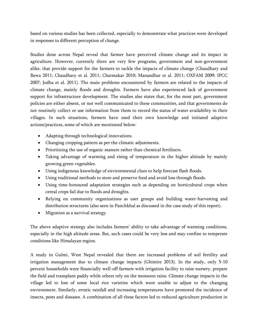based on various studies has been collected, especially to demonstrate what practices were developed in responses to different perception of change.

Studies done across Nepal reveal that farmer have perceived climate change and its impact in agriculture. However, currently there are very few programs, government and non-government alike, that provide support for the farmers to tackle the impacts of climate change (Chaudhary and Bawa 2011; Chaudhary et al. 2011; Charmakar 2010; Manandhar et al. 2011; OXFAM 2009; IPCC 2007; Jodha et al. 2011). The main problems encountered by farmers are related to the impacts of climate change, mainly floods and droughts. Farmers have also experienced lack of government support for infrastructure development. The studies also states that, for the most part, government policies are either absent, or not well communicated to these communities, and that governments do not routinely collect or use information from them to record the status of water availability in their villages. In such situations, farmers have used their own knowledge and initiated adaptive actions/practices, some of which are mentioned below:

- Adapting through technological innovations.
- Changing cropping pattern as per the climatic adjustments.
- Prioritizing the use of organic manure rather than chemical fertilizers.
- Taking advantage of warming and rising of temperature in the higher altitude by mainly growing green vegetables.
- Using indigenous knowledge of environmental clues to help forecast flash floods.
- Using traditional methods to store and preserve food and avoid loss through floods.
- Using time-honoured adaptation strategies such as depending on horticultural crops when cereal crops fail due to floods and droughts.
- Relying on community organizations as user groups and building water-harvesting and distribution structures (also seen in Panchkhal as discussed in the case study of this report).
- Migration as a survival strategy.

The above adaptive strategy also includes farmers' ability to take advantage of warming conditions, especially in the high altitude areas. But, such cases could be very less and may confine to temperate conditions like Himalayan region.

A study in Gulmi, West Nepal revealed that there are increased problems of soil fertility and irrigation management due to climate change impacts (Ghimire 2013). In the study, only 5-10 percent households were financially well-off farmers with irrigation facility to raise nursery, prepare the field and transplant paddy while others rely on the monsoon rains. Climate change impacts in the village led to loss of some local rice varieties which were unable to adjust to the changing environment. Similarly, erratic rainfall and increasing temperatures have promoted the incidence of insects, pests and diseases. A combination of all these factors led to reduced agriculture production in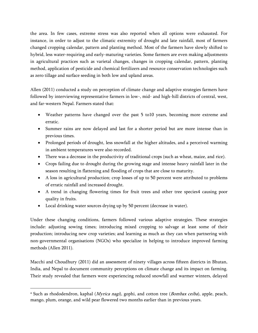the area. In few cases, extreme stress was also reported when all options were exhausted. For instance, in order to adjust to the climatic extremity of drought and late rainfall, most of farmers changed cropping calendar, pattern and planting method. Most of the farmers have slowly shifted to hybrid, less water-requiring and early-maturing varieties. Some farmers are even making adjustments in agricultural practices such as varietal changes, changes in cropping calendar, pattern, planting method, application of pesticide and chemical fertilizers and resource conservation technologies such as zero tillage and surface seeding in both low and upland areas.

Allen (2011) conducted a study on perception of climate change and adaptive strategies farmers have followed by interviewing representative farmers in low-, mid- and high-hill districts of central, west, and far-western Nepal. Farmers stated that:

- Weather patterns have changed over the past 5 to10 years, becoming more extreme and erratic.
- Summer rains are now delayed and last for a shorter period but are more intense than in previous times.
- Prolonged periods of drought, less snowfall at the higher altitudes, and a perceived warming in ambient temperatures were also recorded.
- There was a decrease in the productivity of traditional crops (such as wheat, maize, and rice).
- Crops failing due to drought during the growing stage and intense heavy rainfall later in the season resulting in flattening and flooding of crops that are close to maturity.
- A loss in agricultural production; crop losses of up to 50 percent were attributed to problems of erratic rainfall and increased drought.
- A trend in changing flowering times for fruit trees and other tree species4 causing poor quality in fruits.
- Local drinking water sources drying up by 50 percent (decrease in water).

 $\overline{a}$ 

Under these changing conditions, farmers followed various adaptive strategies. These strategies include: adjusting sowing times; introducing mixed cropping to salvage at least some of their production; introducing new crop varieties; and learning as much as they can when partnering with non-governmental organisations (NGOs) who specialize in helping to introduce improved farming methods (Allen 2011).

Macchi and Choudhury (2011) did an assessment of ninety villages across fifteen districts in Bhutan, India, and Nepal to document community perceptions on climate change and its impact on farming. Their study revealed that farmers were experiencing reduced snowfall and warmer winters, delayed

<sup>&</sup>lt;sup>4</sup> Such as rhododendron, kaphal (*Myrica nagi*), gophi, and cotton tree (*Bombax ceiba*), apple, peach, mango, plum, orange, and wild pear flowered two months earlier than in previous years.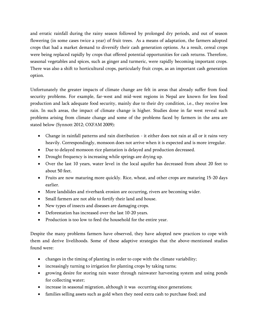and erratic rainfall during the rainy season followed by prolonged dry periods, and out of season flowering (in some cases twice a year) of fruit trees. As a means of adaptation, the farmers adopted crops that had a market demand to diversify their cash generation options. As a result, cereal crops were being replaced rapidly by crops that offered potential opportunities for cash returns. Therefore, seasonal vegetables and spices, such as ginger and turmeric, were rapidly becoming important crops. There was also a shift to horticultural crops, particularly fruit crops, as an important cash generation option.

Unfortunately the greater impacts of climate change are felt in areas that already suffer from food security problems. For example, far-west and mid-west regions in Nepal are known for less food production and lack adequate food security, mainly due to their dry condition, i.e., they receive less rain. In such areas, the impact of climate change is higher. Studies done in far west reveal such problems arising from climate change and some of the problems faced by farmers in the area are stated below (Synnott 2012; OXFAM 2009):

- Change in rainfall patterns and rain distribution it either does not rain at all or it rains very heavily. Correspondingly, monsoon does not arrive when it is expected and is more irregular.
- Due to delayed monsoon rice plantation is delayed and production decreased.
- Drought frequency is increasing while springs are drying up.
- Over the last 10 years, water level in the local aquifer has decreased from about 20 feet to about 50 feet.
- Fruits are now maturing more quickly. Rice, wheat, and other crops are maturing 15-20 days earlier.
- More landslides and riverbank erosion are occurring, rivers are becoming wider.
- Small farmers are not able to fortify their land and house.
- New types of insects and diseases are damaging crops.
- Deforestation has increased over the last 10-20 years.
- Production is too low to feed the household for the entire year.

Despite the many problems farmers have observed, they have adopted new practices to cope with them and derive livelihoods. Some of these adaptive strategies that the above-mentioned studies found were:

- changes in the timing of planting in order to cope with the climate variability;
- increasingly turning to irrigation for planting crops by taking turns;
- growing desire for storing rain water through rainwater harvesting system and using ponds for collecting water;
- increase in seasonal migration, although it was occurring since generations;
- families selling assets such as gold when they need extra cash to purchase food; and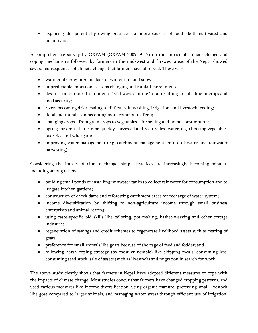exploring the potential growing practices of more sources of food—both cultivated and uncultivated.

A comprehensive survey by OXFAM (OXFAM 2009, 9-15) on the impact of climate change and coping mechanisms followed by farmers in the mid-west and far-west areas of the Nepal showed several consequences of climate change that farmers have observed. These were:

- warmer, drier winter and lack of winter rain and snow;
- unpredictable monsoon, seasons changing and rainfall more intense;
- destruction of crops from intense 'cold waves' in the Terai resulting in a decline in crops and food security;
- rivers becoming drier leading to difficulty in washing, irrigation, and livestock feeding;
- flood and inundation becoming more common in Terai;
- changing crops from grain crops to vegetables for selling and home consumption;
- opting for crops that can be quickly harvested and require less water, e.g. choosing vegetables over rice and wheat; and
- improving water management (e.g. catchment management, re-use of water and rainwater harvesting).

Considering the impact of climate change, simple practices are increasingly becoming popular, including among others:

- building small ponds or installing rainwater tanks to collect rainwater for consumption and to irrigate kitchen gardens;
- construction of check dams and reforesting catchment areas for recharge of water system;
- income diversification by shifting to non-agriculture income through small business enterprises and animal rearing;
- using caste-specific old skills like tailoring, pot-making, basket-weaving and other cottage industries;
- regeneration of savings and credit schemes to regenerate livelihood assets such as rearing of goats;
- preference for small animals like goats because of shortage of feed and fodder; and
- following harsh coping strategy (by most vulnerable) like skipping meals, consuming less, consuming seed stock, sale of assets (such as livestock) and migration in search for work.

The above study clearly shows that farmers in Nepal have adopted different measures to cope with the impacts of climate change. Most studies concur that farmers have changed cropping patterns, and used various measures like income diversification, using organic manure, preferring small livestock like goat compared to larger animals, and managing water stress through efficient use of irrigation.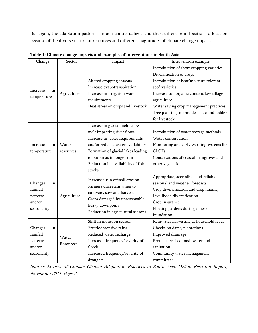But again, the adaptation pattern is much contextualized and thus, differs from location to location because of the diverse nature of resources and different magnitudes of climate change impact.

| Change                                                         | Sector             | Impact                                                                                                                                                                                                                                                 | Intervention example                                                                                                                                                                                                                   |
|----------------------------------------------------------------|--------------------|--------------------------------------------------------------------------------------------------------------------------------------------------------------------------------------------------------------------------------------------------------|----------------------------------------------------------------------------------------------------------------------------------------------------------------------------------------------------------------------------------------|
| Increase<br>in<br>temperature                                  | Agriculture        | Altered cropping seasons<br>Increase evapotranspiration<br>Increase in irrigation water<br>requirements<br>Heat stress on crops and livestock                                                                                                          | Introduction of short cropping varieties<br>Diversification of crops<br>Introduction of heat/moisture tolerant<br>seed varieties<br>Increase soil organic content/low tillage<br>agriculture<br>Water saving crop management practices |
|                                                                |                    |                                                                                                                                                                                                                                                        | Tree planting to provide shade and fodder<br>for livestock                                                                                                                                                                             |
| Increase<br>in<br>temperature                                  | Water<br>resources | Increase in glacial melt, snow<br>melt impacting river flows<br>Increase in water requirements<br>and/or reduced water availability<br>Formation of glacial lakes leading<br>to outbursts in longer run<br>Reduction in availability of fish<br>stocks | Introduction of water storage methods<br>Water conservation<br>Monitoring and early warning systems for<br><b>GLOFs</b><br>Conservations of coastal mangroves and<br>other vegetation                                                  |
| Changes<br>in<br>rainfall<br>patterns<br>and/or<br>seasonality | Agriculture        | Increased run off/soil erosion<br>Farmers uncertain when to<br>cultivate, sow and harvest<br>Crops damaged by unseasonable<br>heavy downpours<br>Reduction in agricultural seasons                                                                     | Appropriate, accessible, and reliable<br>seasonal and weather forecasts<br>Crop diversification and crop mixing<br>Livelihood diversification<br>Crop insurance<br>Floating gardens during times of<br>inundation                      |
| Changes<br>in<br>rainfall<br>patterns<br>and/or<br>seasonality | Water<br>Resources | Shift in monsoon season<br>Erratic/intensive rains<br>Reduced water recharge<br>Increased frequency/severity of<br>floods<br>Increased frequency/severity of<br>droughts                                                                               | Rainwater harvesting at household level<br>Checks on dams, plantations<br>Improved drainage<br>Protected/raised food, water and<br>sanitation<br>Community water management<br>committees                                              |

<span id="page-18-0"></span>

Source: Review of Climate Change Adaptation Practices in South Asia, Oxfam Research Report, November 2011. Page 27.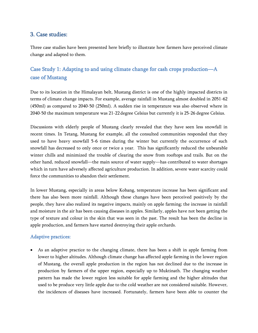# <span id="page-19-0"></span>3. Case studies:

Three case studies have been presented here briefly to illustrate how farmers have perceived climate change and adapted to them.

# <span id="page-19-1"></span>Case Study 1: Adapting to and using climate change for cash crops production—A case of Mustang

Due to its location in the Himalayan belt, Mustang district is one of the highly impacted districts in terms of climate change impacts. For example, average rainfall in Mustang almost doubled in 2051-62 (450ml) as compared to 2040-50 (250ml). A sudden rise in temperature was also observed where in 2040-50 the maximum temperature was 21-22 degree Celsius but currently it is 25-26 degree Celsius.

Discussions with elderly people of Mustang clearly revealed that they have seen less snowfall in recent times. In Tetang, Mustang for example, all the consulted communities responded that they used to have heavy snowfall 5-6 times during the winter but currently the occurrence of such snowfall has decreased to only once or twice a year. This has significantly reduced the unbearable winter chills and minimized the trouble of clearing the snow from rooftops and trails. But on the other hand, reduced snowfall—the main source of water supply—has contributed to water shortages which in turn have adversely affected agriculture production. In addition, severe water scarcity could force the communities to abandon their settlement.

In lower Mustang, especially in areas below Kobang, temperature increase has been significant and there has also been more rainfall. Although these changes have been perceived positively by the people, they have also realized its negative impacts, mainly on apple farming; the increase in rainfall and moisture in the air has been causing diseases in apples. Similarly, apples have not been getting the type of texture and colour in the skin that was seen in the past. The result has been the decline in apple production, and farmers have started destroying their apple orchards.

## <span id="page-19-2"></span>Adaptive practices:

 As an adaptive practice to the changing climate, there has been a shift in apple farming from lower to higher altitudes. Although climate change has affected apple farming in the lower region of Mustang, the overall apple production in the region has not declined due to the increase in production by farmers of the upper region, especially up to Muktinath. The changing weather pattern has made the lower region less suitable for apple farming and the higher altitudes that used to be produce very little apple due to the cold weather are not considered suitable. However, the incidences of diseases have increased. Fortunately, farmers have been able to counter the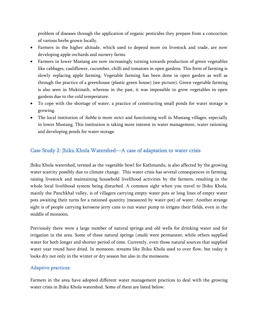problem of diseases through the application of organic pesticides they prepare from a concoction of various herbs grown locally.

- Farmers in the higher altitude, which used to depend more on livestock and trade, are now developing apple orchards and nursery farms.
- Farmers in lower Mustang are now increasingly turning towards production of green vegetables like cabbages, cauliflower, cucumber, chilli and tomatoes in open gardens. This form of farming is slowly replacing apple farming. Vegetable farming has been done in open garden as well as through the practice of a greenhouse (plastic green house) (see picture). Green vegetable farming is also seen in Muktinath, whereas in the past, it was impossible to grow vegetables in open gardens due to the cold temperature.
- To cope with the shortage of water, a practice of constructing small ponds for water storage is growing.
- The local institution of *Subba* is more strict and functioning well in Mustang villages, especially in lower Mustang. This institution is taking more interest in water management, water rationing and developing ponds for water storage.

# <span id="page-20-0"></span>Case Study 2: Jhiku Khola Watershed—A case of adaptation to water crisis

Jhiku Khola watershed, termed as the vegetable bowl for Kathmandu, is also affected by the growing water scarcity possibly due to climate change. This water crisis has several consequences in farming, raising livestock and maintaining household livelihood activities by the farmers, resulting in the whole local livelihood system being disturbed. A common sight when you travel to Jhiku Khola, mainly the Panchkhal valley, is of villagers carrying empty water pots or long lines of empty water pots awaiting their turns for a rationed quantity (measured by water-pot) of water. Another strange sight is of people carrying kerosene jerry cans to run water pump to irrigate their fields, even in the middle of monsoon.

Previously there were a large number of natural springs and old wells for drinking water and for irrigation in the area. Some of these natural springs (*muls*) were permanent, while others supplied water for both longer and shorter period of time. Currently, even those natural sources that supplied water year round have dried. In monsoon, streams like Jhiku Khola used to over flow, but today it looks dry not only in the winter or dry season but also in the monsoons.

#### <span id="page-20-1"></span>Adaptive practices:

Farmers in the area have adopted different water management practices to deal with the growing water crisis in Jhiku Khola watershed. Some of them are listed below: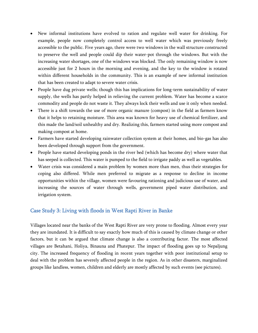- New informal institutions have evolved to ration and regulate well water for drinking. For example, people now completely control access to well water which was previously freely accessible to the public. Five years ago, there were two windows in the wall structure constructed to preserve the well and people could dip their water-pot through the windows. But with the increasing water shortages, one of the windows was blocked. The only remaining window is now accessible just for 2 hours in the morning and evening, and the key to the window is rotated within different households in the community. This is an example of new informal institution that has been created to adapt to severe water crisis.
- People have dug private wells; though this has implications for long-term sustainability of water supply, the wells has partly helped in relieving the current problem. Water has become a scarce commodity and people do not waste it. They always lock their wells and use it only when needed.
- There is a shift towards the use of more organic manure (compost) in the field as farmers know that it helps to retaining moisture. This area was known for heavy use of chemical fertilizer, and this made the land/soil unhealthy and dry. Realizing this, farmers started using more compost and making compost at home.
- Farmers have started developing rainwater collection system at their homes, and bio-gas has also been developed through support from the government.
- People have started developing ponds in the river bed (which has become dry) where water that has seeped is collected. This water is pumped to the field to irrigate paddy as well as vegetables.
- Water crisis was considered a main problem by women more than men, thus their strategies for coping also differed. While men preferred to migrate as a response to decline in income opportunities within the village, women were favouring rationing and judicious use of water, and increasing the sources of water through wells, government piped water distribution, and irrigation system.

## <span id="page-21-0"></span>Case Study 3: Living with floods in West Rapti River in Banke

Villages located near the banks of the West Rapti River are very prone to flooding. Almost every year they are inundated. It is difficult to say exactly how much of this is caused by climate change or other factors, but it can be argued that climate change is also a contributing factor. The most affected villages are Betahani, Holiya, Binauna and Phatepur. The impact of flooding goes up to Nepaljung city. The increased frequency of flooding in recent years together with poor institutional setup to deal with the problem has severely affected people in the region. As in other disasters, marginalized groups like landless, women, children and elderly are mostly affected by such events (see pictures).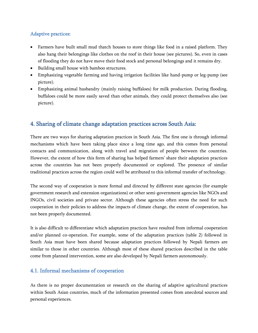# <span id="page-22-0"></span>Adaptive practices:

- Farmers have built small mud thatch houses to store things like food in a raised platform. They also hang their belongings like clothes on the roof in their house (see pictures). So, even in cases of flooding they do not have move their food stock and personal belongings and it remains dry.
- Building small house with bamboo structures.
- Emphasizing vegetable farming and having irrigation facilities like hand-pump or leg-pump (see picture).
- Emphasizing animal husbandry (mainly raising buffaloes) for milk production. During flooding, buffaloes could be more easily saved than other animals, they could protect themselves also (see picture).

# <span id="page-22-1"></span>4. Sharing of climate change adaptation practices across South Asia:

There are two ways for sharing adaptation practices in South Asia. The first one is through informal mechanisms which have been taking place since a long time ago, and this comes from personal contacts and communication, along with travel and migration of people between the countries. However, the extent of how this form of sharing has helped farmers' share their adaptation practices across the countries has not been properly documented or explored. The presence of similar traditional practices across the region could well be attributed to this informal transfer of technology.

The second way of cooperation is more formal and directed by different state agencies (for example government research and extension organizations) or other semi-government agencies like NGOs and INGOs, civil societies and private sector. Although these agencies often stress the need for such cooperation in their policies to address the impacts of climate change, the extent of cooperation, has not been properly documented.

It is also difficult to differentiate which adaptation practices have resulted from informal cooperation and/or planned co-operation. For example, some of the adaptation practices (table 2) followed in South Asia must have been shared because adaptation practices followed by Nepali farmers are similar to those in other countries. Although most of these shared practices described in the table come from planned intervention, some are also developed by Nepali farmers autonomously.

# <span id="page-22-2"></span>4.1. Informal mechanisms of cooperation

As there is no proper documentation or research on the sharing of adaptive agricultural practices within South Asian countries, much of the information presented comes from anecdotal sources and personal experiences.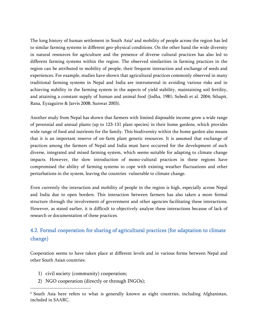The long history of human settlement in South Asia<sup>5</sup> and mobility of people across the region has led to similar farming systems in different geo-physical conditions. On the other hand the wide diversity in natural resources for agriculture and the presence of diverse cultural practices has also led to different farming systems within the region. The observed similarities in farming practices in the region can be attributed to mobility of people, their frequent interaction and exchange of seeds and experiences. For example, studies have shown that agricultural practices commonly observed in many traditional farming systems in Nepal and India are instrumental in avoiding various risks and in achieving stability in the farming system in the aspects of yield stability, maintaining soil fertility, and attaining a constant supply of human and animal food (Jodha, 1981; Subedi et al. 2004; Sthapit, Rana, Eyzaguirre & Jarvis 2008; Sunwar 2003).

Another study from Nepal has shown that farmers with limited disposable income grow a wide range of perennial and annual plants (up to 123-131 plant species) in their home gardens, which provides wide range of food and nutrients for the family. This biodiversity within the home garden also means that it is an important reserve of on-farm plant genetic resources. It is assumed that exchange of practices among the farmers of Nepal and India must have occurred for the development of such diverse, integrated and mixed farming system, which seems suitable for adapting to climate change impacts. However, the slow introduction of mono-cultural practices in these regions have compromised the ability of farming systems to cope with existing weather fluctuations and other perturbations in the system, leaving the countries vulnerable to climate change.

Even currently the interaction and mobility of people in the region is high, especially across Nepal and India due to open borders. This interaction between farmers has also taken a more formal structure through the involvement of government and other agencies facilitating these interactions. However, as stated earlier, it is difficult to objectively analyse these interactions because of lack of research or documentation of these practices.

# <span id="page-23-0"></span>4.2. Formal cooperation for sharing of agricultural practices (for adaptation to climate change)

Cooperation seems to have taken place at different levels and in various forms between Nepal and other South Asian countries:

1) civil society (community) cooperation;

 $\overline{a}$ 

2) NGO cooperation (directly or through INGOs);

<sup>&</sup>lt;sup>5</sup> South Asia here refers to what is generally known as eight countries, including Afghanistan, included in SAARC.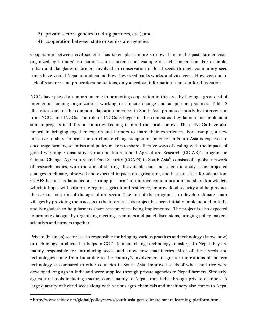- 3) private sector agencies (trading partners, etc.); and
- 4) cooperation between state or semi-state agencies.

Cooperation between civil societies has taken place, more so now than in the past; farmer visits organized by farmers' associations can be taken as an example of such cooperation. For example, Indian and Bangladeshi farmers involved in conservation of local seeds through community seed banks have visited Nepal to understand how these seed banks works, and vice versa. However, due to lack of resources and proper documentations, only anecdotal information is present for illustration.

NGOs have played an important role in promoting cooperation in this area by having a great deal of interactions among organizations working in climate change and adaptation practices. Table 2 illustrates some of the common adaptation practices in South Asia promoted mostly by intervention from NGOs and INGOs. The role of INGOs is bigger in this context as they launch and implement similar projects in different countries keeping in mind the local context. These INGOs have also helped in bringing together experts and farmers to share their experiences. For example, a new initiative to share information on climate change adaptation practices in South Asia is expected to encourage farmers, scientists and policy makers to share effective ways of dealing with the impacts of global warming. Consultative Group on International Agriculture Research (CGIAR)'s program on Climate Change, Agriculture and Food Security (CCAFS) in South Asia<sup>6</sup>, consists of a global network of research bodies, with the aim of sharing all available data and scientific analysis on projected changes in climate, observed and expected impacts on agriculture, and best practices for adaptation. CCAFS has in fact launched a "learning platform" to improve communication and share knowledge, which it hopes will bolster the region's agricultural resilience, improve food security and help reduce the carbon footprint of the agriculture sector. The aim of the program is to develop climate-smart villages by providing them access to the internet. This project has been initially implemented in India and Bangladesh to help farmers share best practices being implemented. The project is also expected to promote dialogue by organizing meetings, seminars and panel discussions, bringing policy makers, scientists and farmers together.

Private (business) sector is also responsible for bringing various practices and technology (know-how) or technology-products that helps in CCTT (climate change technology transfer). In Nepal they are mainly responsible for introducing seeds, and know-how machineries. Most of these seeds and technologies come from India due to the country's involvement in greater innovations of modern technology as compared to other countries in South Asia. Improved seeds of wheat and rice were developed long ago in India and were supplied through private agencies to Nepali farmers. Similarly, agricultural tools including tractors come mainly to Nepal from India through private channels. A large quantity of hybrid seeds along with various agro-chemicals and machinery also comes to Nepal

 $\overline{\phantom{a}}$ 

<sup>6</sup> http://www.scidev.net/global/policy/news/south-asia-gets-climate-smart-learning-platform.html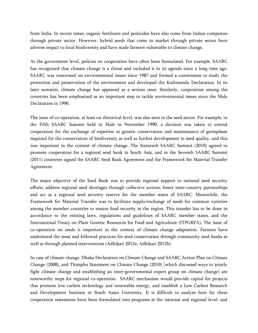from India. In recent times, organic fertilizers and pesticides have also come from Indian companies through private sector. However, hybrid seeds that come to market through private sector have adverse impact to local biodiversity and have made farmers vulnerable to climate change.

At the government level, policies on cooperation have often been formulated. For example, SAARC has recognized that climate change is a threat and included it in its agenda since a long time ago. SAARC was concerned on environmental issues since 1987 and formed a commission to study the protection and preservation of the environment and developed the Kathmandu Declaration. In its later summits, climate change has appeared as a serious issue. Similarly, cooperation among the countries has been emphasized as an important step to tackle environmental issues since the Male Declaration in 1990.

The issue of co-operation, at least on rhetorical level, was also seen in the seed sector. For example, in the Fifth SAARC Summit held in Male in November 1990, a decision was taken to extend cooperation for the exchange of expertise in genetic conservation and maintenance of germplasm required for the conservation of biodiversity as well as further development in seed quality, and this was important in the context of climate change. The Sixteenth SAARC Summit (2010) agreed to promote cooperation for a regional seed bank in South Asia, and in the Seventh SAARC Summit (2011) countries signed the SAARC Seed Bank Agreement and the Framework for Material Transfer Agreement.

The major objective of the Seed Bank was to provide regional support to national seed security efforts, address regional seed shortages through collective actions, foster inter-country partnerships and act as a regional seed security reserve for the member states of SAARC. Meanwhile, the Framework for Material Transfer was to facilitate supply/exchange of seeds for common varieties among the member countries to ensure food security in the region. This transfer has to be done in accordance to the existing laws, regulations and guidelines of SAARC member states, and the International Treaty on Plant Genetic Resources for Food and Agriculture (ITPGRFA). The issue of co-operation on seeds is important in the context of climate change adaptation. Farmers have understood the issue and followed practices for seed conservation through community seed banks as well as through planned interventions (Adhikari 2012a; Adhikari 2012b).

In case of climate change, Dhaka Declaration on Climate Change and SAARC Action Plan on Climate Change (2008), and Thimphu Statement on Climate Change (2010) [which discussed ways to jointly fight climate change and establishing an inter-governmental expert group on climate change] are noteworthy steps for regional co-operation. SAARC mechanism would provide capital for projects that promote low-carbon technology and renewable energy, and establish a Low Carbon Research and Development Institute in South Asian University. It is difficult to analyse how far these cooperation statements have been formulated into programs at the national and regional level, and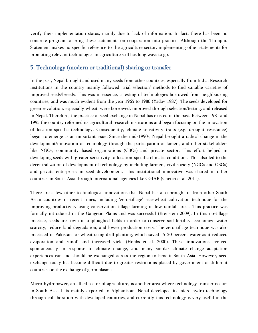verify their implementation status, mainly due to lack of information. In fact, there has been no concrete program to bring these statements on cooperation into practice. Although the Thimphu Statement makes no specific reference to the agriculture sector, implementing other statements for promoting relevant technologies in agriculture still has long ways to go.

#### <span id="page-26-0"></span>5. Technology (modern or traditional) sharing or transfer

In the past, Nepal brought and used many seeds from other countries, especially from India. Research institutions in the country mainly followed 'trial selection' methods to find suitable varieties of improved seeds/breeds. This was in essence, a testing of technologies borrowed from neighbouring countries, and was much evident from the year 1965 to 1980 (Yadav 1987). The seeds developed for green revolution, especially wheat, were borrowed, improved through selection/testing, and released in Nepal. Therefore, the practice of seed exchange in Nepal has existed in the past. Between 1981 and 1995 the country reformed its agricultural research institutions and began focusing on the innovation of location-specific technology. Consequently, climate sensitivity traits (e.g. drought resistance) began to emerge as an important issue. Since the mid-1990s, Nepal brought a radical change in the development/innovation of technology through the participation of famers, and other stakeholders like NGOs, community based organisations (CBOs) and private sector. This effort helped in developing seeds with greater sensitivity to location-specific climatic conditions. This also led to the decentralization of development of technology by including farmers, civil society (NGOs and CBOs) and private enterprises in seed development. This institutional innovative was shared in other countries in South Asia through international agencies like CGIAR (Chettri et al. 2011).

There are a few other technological innovations that Nepal has also brought in from other South Asian countries in recent times, including 'zero-tillage' rice-wheat cultivation technique for the improving productivity using conservation tillage farming in low-rainfall areas. This practice was formally introduced in the Gangetic Plains and was successful (Erenstein 2009). In this no-tillage practice, seeds are sown in unploughed fields in order to conserve soil fertility, economize water scarcity, reduce land degradation, and lower production costs. The zero tillage technique was also practiced in Pakistan for wheat using drill planting, which saved 15-20 percent water as it reduced evaporation and runoff and increased yield (Hobbs et al. 2000). These innovations evolved spontaneously in response to climate change, and many similar climate change adaptation experiences can and should be exchanged across the region to benefit South Asia. However, seed exchange today has become difficult due to greater restrictions placed by government of different countries on the exchange of germ plasma.

Micro-hydropower, an allied sector of agriculture, is another area where technology transfer occurs in South Asia. It is mainly exported to Afghanistan. Nepal developed its micro-hydro technology through collaboration with developed countries, and currently this technology is very useful in the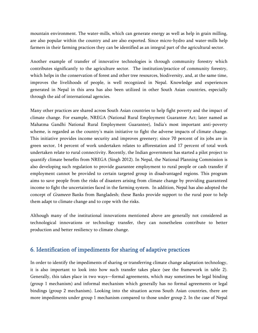mountain environment. The water-mills, which can generate energy as well as help in grain milling, are also popular within the country and are also exported. Since micro-hydro and water-mills help farmers in their farming practices they can be identified as an integral part of the agricultural sector.

Another example of transfer of innovative technologies is through community forestry which contributes significantly to the agriculture sector. The institution/practice of community forestry, which helps in the conservation of forest and other tree resources, biodiversity, and, at the same time, improves the livelihoods of people, is well recognized in Nepal. Knowledge and experiences generated in Nepal in this area has also been utilized in other South Asian countries, especially through the aid of international agencies.

Many other practices are shared across South Asian countries to help fight poverty and the impact of climate change. For example, NREGA (National Rural Employment Guarantee Act; later named as Mahatma Gandhi National Rural Employment Guarantee), India's most important anti-poverty scheme, is regarded as the country's main initiative to fight the adverse impacts of climate change. This initiative provides income security and improves greenery; since 70 percent of its jobs are in green sector, 14 percent of work undertaken relates to afforestation and 17 percent of total work undertaken relate to rural connectivity. Recently, the Indian government has started a pilot project to quantify climate benefits from NREGA (Singh 2012). In Nepal, the National Planning Commission is also developing such regulation to provide guarantee employment to rural people or cash transfer if employment cannot be provided to certain targeted group in disadvantaged regions. This program aims to save people from the risks of disasters arising from climate change by providing guaranteed income to fight the uncertainties faced in the farming system. In addition, Nepal has also adopted the concept of Grameen Banks from Bangladesh; these Banks provide support to the rural poor to help them adapt to climate change and to cope with the risks.

Although many of the institutional innovations mentioned above are generally not considered as technological innovations or technology transfer, they can nonetheless contribute to better production and better resiliency to climate change.

#### <span id="page-27-0"></span>6. Identification of impediments for sharing of adaptive practices

In order to identify the impediments of sharing or transferring climate change adaptation technology, it is also important to look into how such transfer takes place (see the framework in table 2). Generally, this takes place in two ways—formal agreements, which may sometimes be legal binding (group 1 mechanism) and informal mechanism which generally has no formal agreements or legal bindings (group 2 mechanism). Looking into the situation across South Asian countries, there are more impediments under group 1 mechanism compared to those under group 2. In the case of Nepal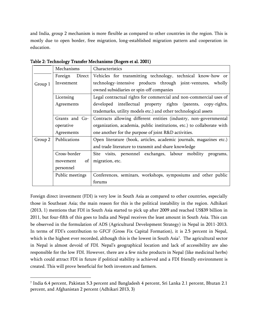and India, group 2 mechanism is more flexible as compared to other countries in the region. This is mostly due to open border, free migration, long-established migration pattern and cooperation in education.

|         | Mechanisms                                                                  | Characteristics                                                        |  |  |
|---------|-----------------------------------------------------------------------------|------------------------------------------------------------------------|--|--|
|         | Direct<br>Foreign                                                           | Vehicles for transmitting technology, technical know-how or            |  |  |
| Group 1 | Investment                                                                  | technology-intensive products through joint-ventures, wholly           |  |  |
|         |                                                                             | owned subsidiaries or spin-off companies                               |  |  |
|         | Licensing                                                                   | Legal contractual rights for commercial and non-commercial uses of     |  |  |
|         | developed intellectual property rights (patents, copy-rights,<br>Agreements |                                                                        |  |  |
|         |                                                                             | trademarks, utility models etc.) and other technological assets        |  |  |
|         | Grants and Co-                                                              | Contracts allowing different entities (industry, non-governmental      |  |  |
|         | operative                                                                   | organization, academia, public institutions, etc.) to collaborate with |  |  |
|         | Agreements                                                                  | one another for the purpose of joint R&D activities.                   |  |  |
| Group 2 | Publications                                                                | Open literature (book, articles, academic journals, magazines etc.)    |  |  |
|         |                                                                             | and trade literature to transmit and share knowledge                   |  |  |
|         | Cross-border                                                                | Site visits, personnel exchanges, labour mobility<br>programs,         |  |  |
|         | of<br>movement                                                              | migration, etc.                                                        |  |  |
|         | personnel                                                                   |                                                                        |  |  |
|         | Public meetings                                                             | Conferences, seminars, workshops, symposiums and other public          |  |  |
|         |                                                                             | forums                                                                 |  |  |

Table 2: Technology Transfer Mechanisms (Rogers et al. 2001)

Foreign direct investment (FDI) is very low in South Asia as compared to other countries, especially those in Southeast Asia; the main reason for this is the political instability in the region. Adhikari (2013, 1) mentions that FDI in South Asia started to pick up after 2009 and reached US\$39 billion in 2011, but four-fifth of this goes to India and Nepal receives the least amount in South Asia. This can be observed in the formulation of ADS (Agricultural Development Strategy) in Nepal in 2011-2013. In terms of FDI's contribution to GFCF (Gross Fix Capital Formation), it is 2.5 percent in Nepal, which is the highest ever recorded, although this is the lowest in South Asia<sup>7</sup> . The agricultural sector in Nepal is almost devoid of FDI. Nepal's geographical location and lack of accessibility are also responsible for the low FDI. However, there are a few niche products in Nepal (like medicinal herbs) which could attract FDI in future if political stability is achieved and a FDI friendly environment is created. This will prove beneficial for both investors and farmers.

l

<sup>7</sup> India 6.4 percent, Pakistan 5.3 percent and Bangladesh 4 percent, Sri Lanka 2.1 percent, Bhutan 2.1 percent, and Afghanistan 2 percent (Adhikari 2013, 3)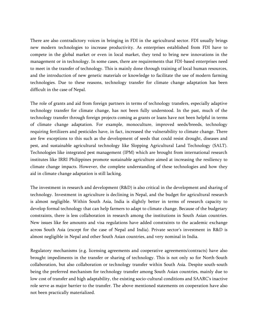There are also contradictory voices in bringing in FDI in the agricultural sector. FDI usually brings new modern technologies to increase productivity. As enterprises established from FDI have to compete in the global market or even in local market, they tend to bring new innovations in the management or in technology. In some cases, there are requirements that FDI-based enterprises need to meet in the transfer of technology. This is mainly done through training of local human resources, and the introduction of new genetic materials or knowledge to facilitate the use of modern farming technologies. Due to these reasons, technology transfer for climate change adaptation has been difficult in the case of Nepal.

The role of grants and aid from foreign partners in terms of technology transfers, especially adaptive technology transfer for climate change, has not been fully understood. In the past, much of the technology transfer through foreign projects coming as grants or loans have not been helpful in terms of climate change adaptation. For example, monoculture, improved seeds/breeds, technology requiring fertilizers and pesticides have, in fact, increased the vulnerability to climate change. There are few exceptions to this such as the development of seeds that could resist drought, diseases and pest, and sustainable agricultural technology like Slopping Agricultural Land Technology (SALT). Technologies like integrated pest management (IPM) which are brought from international research institutes like IRRI Philippines promote sustainable agriculture aimed at increasing the resiliency to climate change impacts. However, the complete understanding of these technologies and how they aid in climate change adaptation is still lacking.

The investment in research and development (R&D) is also critical in the development and sharing of technology. Investment in agriculture is declining in Nepal, and the budget for agricultural research is almost negligible. Within South Asia, India is slightly better in terms of research capacity to develop formal technology that can help farmers to adapt to climate change. Because of the budgetary constraints, there is less collaboration in research among the institutions in South Asian countries. New issues like fee amounts and visa regulations have added constraints to the academic exchange across South Asia (except for the case of Nepal and India). Private sector's investment in R&D is almost negligible in Nepal and other South Asian countries, and very nominal in India.

Regulatory mechanisms (e.g. licensing agreements and cooperative agreements/contracts) have also brought impediments in the transfer or sharing of technology. This is not only so for North-South collaboration, but also collaboration or technology transfer within South Asia. Despite south-south being the preferred mechanism for technology transfer among South Asian countries, mainly due to low cost of transfer and high adaptability, the existing socio-cultural conditions and SAARC's inactive role serve as major barrier to the transfer. The above mentioned statements on cooperation have also not been practically materialized.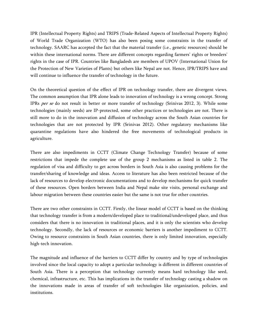IPR (Intellectual Property Rights) and TRIPS (Trade-Related Aspects of Intellectual Property Rights) of World Trade Organization (WTO) has also been posing some constraints in the transfer of technology. SAARC has accepted the fact that the material transfer (i.e., genetic resources) should be within these international norms. There are different concepts regarding farmers' rights or breeders' rights in the case of IPR. Countries like Bangladesh are members of UPOV (International Union for the Protection of New Varieties of Plants) but others like Nepal are not. Hence, IPR/TRIPS have and will continue to influence the transfer of technology in the future.

On the theoretical question of the effect of IPR on technology transfer, there are divergent views. The common assumption that IPR alone leads to innovation of technology is a wrong concept. Strong IPRs per se do not result in better or more transfer of technology (Srinivas 2012, 3). While some technologies (mainly seeds) are IP-protected, some other practices or technologies are not. There is still more to do in the innovation and diffusion of technology across the South Asian countries for technologies that are not protected by IPR (Srinivas 2012). Other regulatory mechanisms like quarantine regulations have also hindered the free movements of technological products in agriculture.

There are also impediments in CCTT (Climate Change Technology Transfer) because of some restrictions that impede the complete use of the group 2 mechanisms as listed in table 2. The regulation of visa and difficulty to get across borders in South Asia is also causing problems for the transfer/sharing of knowledge and ideas. Access to literature has also been restricted because of the lack of resources to develop electronic documentations and to develop mechanisms for quick transfer of these resources. Open borders between India and Nepal make site visits, personal exchange and labour migration between these countries easier but the same is not true for other countries.

There are two other constraints in CCTT. Firstly, the linear model of CCTT is based on the thinking that technology transfer is from a modern/developed place to traditional/undeveloped place, and thus considers that there is no innovation in traditional places, and it is only the scientists who develop technology. Secondly, the lack of resources or economic barriers is another impediment to CCTT. Owing to resource constraints in South Asian countries, there is only limited innovation, especially high-tech innovation.

The magnitude and influence of the barriers to CCTT differ by country and by type of technologies involved since the local capacity to adopt a particular technology is different in different countries of South Asia. There is a perception that technology currently means hard technology like seed, chemical, infrastructure, etc. This has implications in the transfer of technology casting a shadow on the innovations made in areas of transfer of soft technologies like organization, policies, and institutions.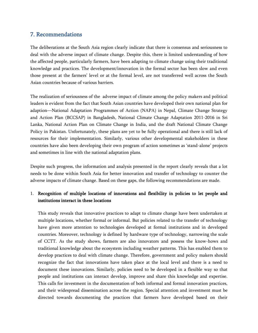# <span id="page-31-0"></span>7. Recommendations

The deliberations at the South Asia region clearly indicate that there is consensus and seriousness to deal with the adverse impact of climate change. Despite this, there is limited understanding of how the affected people, particularly farmers, have been adapting to climate change using their traditional knowledge and practices. The development/innovation in the formal sector has been slow and even those present at the farmers' level or at the formal level, are not transferred well across the South Asian countries because of various barriers.

The realization of seriousness of the adverse impact of climate among the policy makers and political leaders is evident from the fact that South Asian countries have developed their own national plan for adaption—National Adaptation Programmes of Action (NAPA) in Nepal, Climate Change Strategy and Action Plan (BCCSAP) in Bangladesh, National Climate Change Adaptation 2011-2016 in Sri Lanka, National Action Plan on Climate Change in India, and the draft National Climate Change Policy in Pakistan. Unfortunately, these plans are yet to be fully operational and there is still lack of resources for their implementation. Similarly, various other developmental stakeholders in these countries have also been developing their own program of action sometimes as 'stand-alone' projects and sometimes in line with the national adaptation plans.

Despite such progress, the information and analysis presented in the report clearly reveals that a lot needs to be done within South Asia for better innovation and transfer of technology to counter the adverse impacts of climate change. Based on these gaps, the following recommendations are made.

## 1. Recognition of multiple locations of innovations and flexibility in policies to let people and institutions interact in these locations

This study reveals that innovative practices to adapt to climate change have been undertaken at multiple locations, whether formal or informal. But policies related to the transfer of technology have given more attention to technologies developed at formal institutions and in developed countries. Moreover, technology is defined by hardware type of technology, narrowing the scale of CCTT. As the study shows, farmers are also innovators and possess the know-hows and traditional knowledge about the ecosystem including weather patterns. This has enabled them to develop practices to deal with climate change. Therefore, government and policy makers should recognize the fact that innovations have taken place at the local level and there is a need to document these innovations. Similarly, policies need to be developed in a flexible way so that people and institutions can interact develop, improve and share this knowledge and expertise. This calls for investment in the documentation of both informal and formal innovation practices, and their widespread dissemination across the region. Special attention and investment must be directed towards documenting the practices that farmers have developed based on their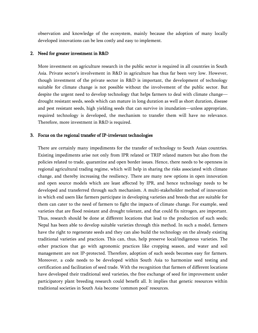observation and knowledge of the ecosystem, mainly because the adoption of many locally developed innovations can be less costly and easy to implement.

#### 2. Need for greater investment in R&D

More investment on agriculture research in the public sector is required in all countries in South Asia. Private sector's involvement in R&D in agriculture has thus far been very low. However, though investment of the private sector in R&D is important, the development of technology suitable for climate change is not possible without the involvement of the public sector. But despite the urgent need to develop technology that helps farmers to deal with climate change drought resistant seeds, seeds which can mature in long duration as well as short duration, disease and pest resistant seeds, high yielding seeds that can survive in inundation—unless appropriate, required technology is developed, the mechanism to transfer them will have no relevance. Therefore, more investment in R&D is required.

#### 3. Focus on the regional transfer of IP-irrelevant technologies

There are certainly many impediments for the transfer of technology to South Asian countries. Existing impediments arise not only from IPR related or TRIP related matters but also from the policies related to trade, quarantine and open border issues. Hence, there needs to be openness in regional agricultural trading regime, which will help in sharing the risks associated with climate change, and thereby increasing the resiliency. There are many new options in open innovation and open source models which are least affected by IPR, and hence technology needs to be developed and transferred through such mechanism. A multi-stakeholder method of innovation in which end users like farmers participate in developing varieties and breeds that are suitable for them can cater to the need of farmers to fight the impacts of climate change. For example, seed varieties that are flood resistant and drought tolerant, and that could fix nitrogen, are important. Thus, research should be done at different locations that lead to the production of such seeds; Nepal has been able to develop suitable varieties through this method. In such a model, farmers have the right to regenerate seeds and they can also build the technology on the already existing traditional varieties and practices. This can, thus, help preserve local/indigenous varieties. The other practices that go with agronomic practices like cropping season, and water and soil management are not IP-protected. Therefore, adoption of such seeds becomes easy for farmers. Moreover, a code needs to be developed within South Asia to harmonize seed testing and certification and facilitation of seed trade. With the recognition that farmers of different locations have developed their traditional seed varieties, the free exchange of seed for improvement under participatory plant breeding research could benefit all. It implies that genetic resources within traditional societies in South Asia become 'common pool' resources.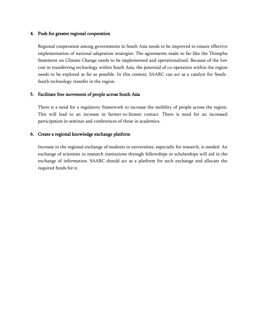#### 4. Push for greater regional cooperation

Regional cooperation among governments in South Asia needs to be improved to ensure effective implementation of national adaptation strategies. The agreements made so far like the Thimphu Statement on Climate Change needs to be implemented and operationalized. Because of the low cost in transferring technology within South Asia, the potential of co-operation within the region needs to be explored as far as possible. In this context, SAARC can act as a catalyst for South-South technology transfer in the region.

#### 5. Facilitate free movement of people across South Asia

There is a need for a regulatory framework to increase the mobility of people across the region. This will lead to an increase in farmer-to-farmer contact. There is need for an increased participation in seminar and conferences of those in academics.

#### 6. Create a regional knowledge exchange platform

Increase in the regional exchange of students in universities, especially for research, is needed. An exchange of scientists in research institutions through fellowships or scholarships will aid in the exchange of information. SAARC should act as a platform for such exchange and allocate the required funds for it.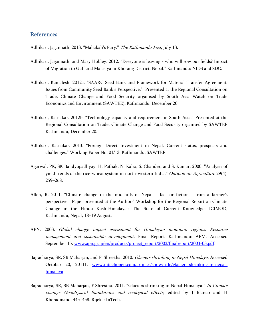#### <span id="page-34-0"></span>References

Adhikari, Jagannath. 2013. "Mahakali's Fury." The Kathmandu Post, July 13.

- Adhikari, Jagannath, and Mary Hobley. 2012. "Everyone is leaving who will sow our fields? Impact of Migration to Gulf and Malasiya in Khotang District, Nepal." Kathmandu: NIDS and SDC.
- Adhikari, Kamalesh. 2012a. "SAARC Seed Bank and Framework for Material Transfer Agreement. Issues from Community Seed Bank's Perspective." Presented at the Regional Consultation on Trade, Climate Change and Food Security organised by South Asia Watch on Trade Economics and Environment (SAWTEE), Kathmandu, December 20.
- Adhikari, Ratnakar. 2012b. "Technology capacity and requirement in South Asia." Presented at the Regional Consultation on Trade, Climate Change and Food Security organised by SAWTEE Kathmandu, December 20.
- Adhikari, Ratnakar. 2013. "Foreign Direct Investment in Nepal. Current status, prospects and challenges.‖ Working Paper No. 01/13. Kathmandu: SAWTEE.
- Agarwal, PK, SK Bandyopadhyay, H. Pathak, N. Kalra, S. Chander, and S. Kumar. 2000. "Analysis of yield trends of the rice-wheat system in north-western India." Outlook on Agriculture 29(4): 259–268.
- Allen, R. 2011. "Climate change in the mid-hills of Nepal fact or fiction from a farmer's perspective." Paper presented at the Authors' Workshop for the Regional Report on Climate Change in the Hindu Kush-Himalayas: The State of Current Knowledge, ICIMOD, Kathmandu, Nepal, 18–19 August.
- APN. 2003. Global change impact assessment for Himalayan mountain regions: Resource management and sustainable development, Final Report. Kathmandu: APM. Accessed September 15. [www.apn.gr.jp/en/products/project\\_report/2003/finalreport/2003-03.pdf](http://www.apn.gr.jp/en/products/project_report/2003/finalreport/2003-03.pdf).
- Bajracharya, SR, SB Maharjan, and F. Shrestha. 2010. Glaciers shrinking in Nepal Himalaya. Accessed October 20, 20111. [www.intechopen.com/articles/show/title/glaciers-shrinking-in-nepal](http://www.intechopen.com/articles/show/title/glaciers-shrinking-in-nepal-himalaya)[himalaya.](http://www.intechopen.com/articles/show/title/glaciers-shrinking-in-nepal-himalaya)
- Bajracharya, SR, SB Maharjan, F Shrestha. 2011. "Glaciers shrinking in Nepal Himalaya." In Climate change: Geophysical foundations and ecological effects, edited by J Blanco and H Kheradmand, 445–458. Rijeka: InTech.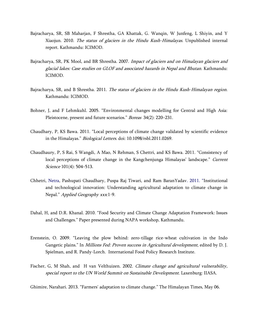- Bajracharya, SR, SB Maharjan, F Shrestha, GA Khattak, G. Wanqin, W Junfeng, L Shiyin, and Y Xiaojun. 2010. The status of glaciers in the Hindu Kush-Himalayas. Unpublished internal report. Kathmandu: ICIMOD.
- Bajracharya, SR, PK Mool, and BR Shrestha. 2007. Impact of glaciers and on Himalayan glaciers and glacial lakes: Case studies on GLOF and associated hazards in Nepal and Bhutan. Kathmandu: ICIMOD.
- Bajracharya, SR, and B Shrestha. 2011. The status of glaciers in the Hindu Kush-Himalayan region. Kathmandu: ICIMOD.
- Bohner, J, and F Lehmkuhl. 2005. "Environmental changes modelling for Central and High Asia: Pleistocene, present and future scenarios." Boreas 34(2): 220-231.
- Chaudhary, P, KS Bawa. 2011. "Local perceptions of climate change validated by scientific evidence in the Himalayas." Biological Letters. doi: 10.1098/rsbl.2011.0269.
- Chaudhaury, P, S Rai, S Wangdi, A Mao, N Rehman, S Chettri, and KS Bawa. 2011. "Consistency of local perceptions of climate change in the Kangchenjunga Himalayas' landscape." Current Science 101(4): 504–513.
- Chhetri, Netra, Pashupati Chaudhary, Puspa Raj Tiwari, and Ram BaranYadav. 2011. "Institutional and technological innovation: Understanding agricultural adaptation to climate change in Nepal." Applied Geography xxx:1-9.
- Dahal, H, and D.R. Khanal. 2010. "Food Security and Climate Change Adaptation Framework: Issues and Challenges." Paper presented during NAPA workshop, Kathmandu.
- Erenstein, O. 2009. "Leaving the plow behind: zero-tillage rice-wheat cultivation in the Indo Gangetic plains." In *Millions Fed: Proven success in Agricultural development*, edited by D. J. Spielman, and R. Pandy-Lorch. International Food Policy Research Institute.
- Fischer, G, M Shah, and H van Velthuizen. 2002. Climate change and agricultural vulnerability, special report to the UN World Summit on Sustainable Development. Laxenburg: IIASA.

Ghimire, Narahari. 2013. "Farmers' adaptation to climate change." The Himalayan Times, May 06.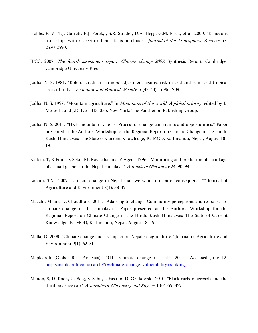- Hobbs, P. V., T.J. Garrett, R.J. Ferek, , S.R. Strader, D.A. Hegg, G.M. Frick, et al. 2000. "Emissions from ships with respect to their effects on clouds." Journal of the Atmospheric Sciences 57: 2570-2590.
- IPCC. 2007. The fourth assessment report: Climate change 2007. Synthesis Report. Cambridge: Cambridge University Press.
- Jodha, N. S. 1981. "Role of credit in farmers' adjustment against risk in arid and semi-arid tropical areas of India." *Economic and Political Weekly* 16(42-43): 1696-1709.
- Jodha, N. S. 1997. "Mountain agriculture." In Mountains of the world: A global priority, edited by B. Messerli, and J.D. Ives, 313–335. New York: The Panthenon Publishing Group.
- Jodha, N. S. 2011. "HKH mountain systems: Process of change constraints and opportunities." Paper presented at the Authors' Workshop for the Regional Report on Climate Change in the Hindu Kush–Himalayas: The State of Current Knowledge, ICIMOD, Kathmandu, Nepal, August 18– 19.
- Kadota, T, K Fuita, K Seko, RB Kayastha, and Y Ageta. 1996. "Monitoring and prediction of shrinkage of a small glacier in the Nepal Himalaya." Annuals of Glaciology 24: 90-94.
- Lohani, S.N. 2007. "Climate change in Nepal-shall we wait until bitter consequences?" Journal of Agriculture and Environment 8(1): 38-45.
- Macchi, M, and D. Choudhury. 2011. "Adapting to change: Community perceptions and responses to climate change in the Himalayas.‖ Paper presented at the Authors' Workshop for the Regional Report on Climate Change in the Hindu Kush–Himalayas: The State of Current Knowledge, ICIMOD, Kathmandu, Nepal, August 18–19.
- Malla, G. 2008. "Climate change and its impact on Nepalese agriculture." Journal of Agriculture and Environment 9(1): 62-71.
- Maplecroft (Global Risk Analysis). 2011. "Climate change risk atlas 2011." Accessed June 12. [http://maplecroft.com/search/?q=climate+change+vulnerability+ranking.](http://maplecroft.com/search/?q=climate+change+vulnerability+ranking)
- Menon, S, D. Koch, G. Beig, S. Sahu, J. Fasullo, D. Orlikowski. 2010. "Black carbon aerosols and the third polar ice cap." Atmospheric Chemistry and Physics 10: 4559-4571.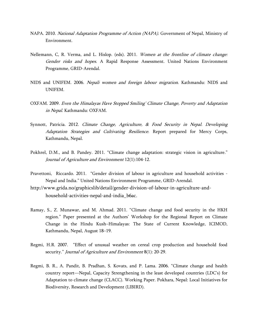- NAPA. 2010. National Adaptation Programme of Action (NAPA). Government of Nepal, Ministry of Environment.
- Nellemann, C, R. Verma, and L. Hislop. (eds). 2011. Women at the frontline of climate change: Gender risks and hopes. A Rapid Response Assessment. United Nations Environment Programme, GRID-Arendal.
- NIDS and UNIFEM. 2006. Nepali women and foreign labour migration. Kathmandu: NIDS and UNIFEM.
- OXFAM. 2009. Even the Himalayas Have Stopped Smiling' Climate Change, Poverty and Adaptation in Nepal. Kathmandu: OXFAM.
- Synnott, Patricia. 2012. Climate Change, Agriculture, & Food Security in Nepal. Developing Adaptation Strategies and Cultivating Resilience. Report prepared for Mercy Corps, Kathmandu, Nepal.
- Pokhrel, D.M., and B. Pandey. 2011. "Climate change adaptation: strategic vision in agriculture." Journal of Agriculture and Environment 12(1):104-12.
- Pravettoni, Riccardo. 2011. "Gender division of labour in agriculture and household activities -Nepal and India." United Nations Environment Programme, GRID-Arendal.
- [http://www.grida.no/graphicslib/detail/gender-division-of-labour-in-agriculture-and](http://www.grida.no/graphicslib/detail/gender-division-of-labour-in-agriculture-and-household-activities-nepal-and-india_b6ac)[household-activities-nepal-and-india\\_b6ac.](http://www.grida.no/graphicslib/detail/gender-division-of-labour-in-agriculture-and-household-activities-nepal-and-india_b6ac)
- Ramay, S., Z. Munawar, and M. Ahmad. 2011. "Climate change and food security in the HKH region.‖ Paper presented at the Authors' Workshop for the Regional Report on Climate Change in the Hindu Kush–Himalayas: The State of Current Knowledge, ICIMOD, Kathmandu, Nepal, August 18–19.
- Regmi, H.R. 2007. "Effect of unusual weather on cereal crop production and household food security." *Journal of Agriculture and Environment* 8(1): 20-29.
- Regmi, B. R., A. Pandit, B. Pradhan, S. Kovats, and P. Lama. 2006. "Climate change and health country report—Nepal, Capacity Strengthening in the least developed countries (LDC's) for Adaptation to climate change (CLACC). Working Paper. Pokhara, Nepal: Local Initiatives for Biodiversity, Research and Development (LIBIRD).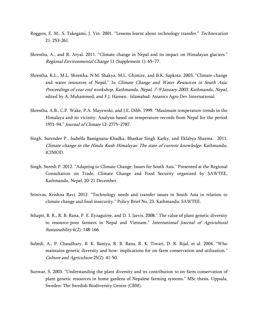- Roggers, E. M., S. Takegami, J. Yin. 2001. "Lessons learnt about technology transfer." *Technovation* 21: 253-261.
- Shrestha, A., and R. Aryal. 2011. "Climate change in Nepal and its impact on Himalayan glaciers." Regional Environmental Change 11 (Supplement 1): 65–77.
- Shrestha, K.L., M.L. Shrestha, N.M. Shakya, M.L. Ghimire, and B.K. Sapkota. 2003. "Climate change and water resources of Nepal." In Climate Change and Water Resources in South Asia: Proceedings of year end workshop, Kathmandu, Nepal, 7–9 January 2003, Kathmandu, Nepal, edited by A. Muhammed, and F.J. Hansen. Islamabad: Asianics Agro Dev International.
- Shrestha, A.B., C.P. Wake, P.A. Mayewski, and J.E. Dibb. 1999. "Maximum temperature trends in the Himalaya and its vicinity: Analysis based on temperature records from Nepal for the period 1971-94.‖ Journal of Climate 12: 2775–2787.
- Singh, Surender P., Isabella Bassignana-Khadka, Bhaskar Singh Karky, and Eklabya Sharma. 2011. Climate change in the Hindu Kush-Himalayas: The state of current knowledge. Kathmandu: ICIMOD.
- Singh, Suresh P. 2012. "Adapting to Climate Change: Issues for South Asia." Presented at the Regional Consultation on Trade, Climate Change and Food Security organized by SAWTEE, Kathmandu, Nepal, 20-21 December.
- Srinivas, Krishna Ravi. 2012. "Technology needs and transfer issues in South Asia in relation to climate change and food insecurity." Policy Brief No. 23. Kathmandu: SAWTEE.
- Sthapit, B. R., R. B. Rana, P. E. Eyzaguirre, and D. I. Jarvis. 2008." The value of plant genetic diversity to resource-poor farmers in Nepal and Vietnam." International Journal of Agricultural Sustainability 6(2): 148-166.
- Subedi, A., P. Chaudhary, B. K. Baniya, R. B. Rana, R. K. Tiwari, D. R. Rijal, et al. 2004. "Who maintains genetic diversity and how: implications for on-farm conservation and utilization." Culture and Agriculture 25(2): 41-50.
- Sunwar, S. 2003. "Understanding the plant diversity and its contribution to on-farm conservation of plant genetic resources in home gardens of Nepalese farming systems." MSc thesis. Uppsala, Sweden: The Swedish Biodiversity Centre (CBM).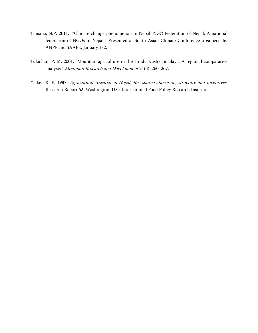- Timsina, N.P. 2011. "Climate change phenomenon in Nepal. NGO Federation of Nepal: A national federation of NGOs in Nepal." Presented at South Asian Climate Conference organized by ANPF and SAAPE, January 1-2.
- Tulachan, P. M. 2001. "Mountain agriculture in the Hindu Kush-Himalaya: A regional comparative analysis." Mountain Research and Development 21(3): 260-267.
- Yadav, R. P. 1987. Agricultural research in Nepal: Re- source allocation, structure and incentives. Research Report 62. Washington, D.C: International Food Policy Research Institute.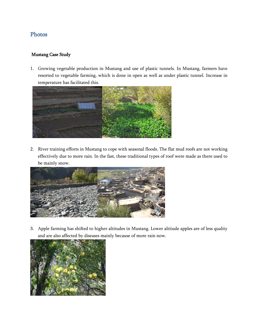# <span id="page-40-0"></span>Photos

#### Mustang Case Study

1. Growing vegetable production in Mustang and use of plastic tunnels. In Mustang, farmers have resorted to vegetable farming, which is done in open as well as under plastic tunnel. Increase in temperature has facilitated this.



2. River training efforts in Mustang to cope with seasonal floods. The flat mud roofs are not working effectively due to more rain. In the fast, these traditional types of roof were made as there used to be mainly snow.



3. Apple farming has shifted to higher altitudes in Mustang. Lower altitude apples are of less quality and are also affected by diseases mainly because of more rain now.

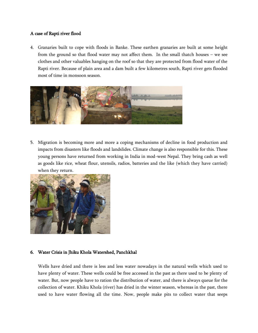#### A case of Rapti river flood

4. Granaries built to cope with floods in Banke. These earthen granaries are built at some height from the ground so that flood water may not affect them. In the small thatch houses – we see clothes and other valuables hanging on the roof so that they are protected from flood water of the Rapti river. Because of plain area and a dam built a few kilometres south, Rapti river gets flooded most of time in monsoon season.



5. Migration is becoming more and more a coping mechanisms of decline in food production and impacts from disasters like floods and landslides. Climate change is also responsible for this. These young persons have returned from working in India in mod-west Nepal. They bring cash as well as goods like rice, wheat flour, utensils, radios, batteries and the like (which they have carried) when they return.



#### 6. Water Crisis in Jhiku Khola Watershed, Panchkhal

Wells have dried and there is less and less water nowadays in the natural wells which used to have plenty of water. These wells could be free accessed in the past as there used to be plenty of water. But, now people have to ration the distribution of water, and there is always queue for the collection of water. Khiku Khola (river) has dried in the winter season, whereas in the past, there used to have water flowing all the time. Now, people make pits to collect water that seeps